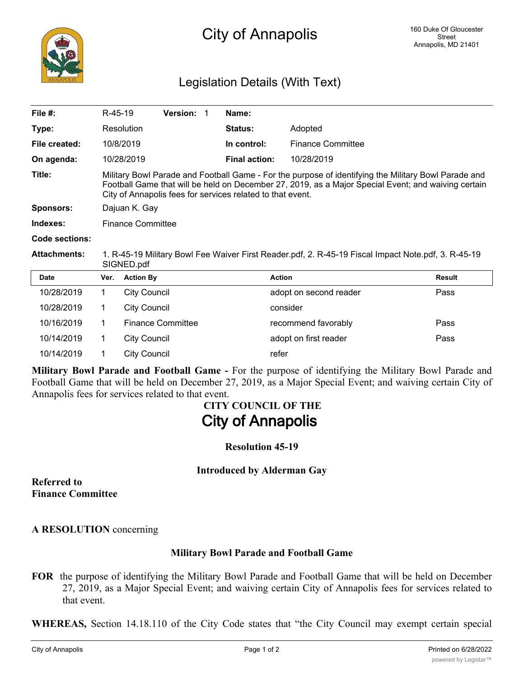

## Legislation Details (With Text)

| File $#$ :          | R-45-19                                                                                                                                                                                                                                                                   |                          | Version: 1 |  | Name:                |                          |               |
|---------------------|---------------------------------------------------------------------------------------------------------------------------------------------------------------------------------------------------------------------------------------------------------------------------|--------------------------|------------|--|----------------------|--------------------------|---------------|
| Type:               |                                                                                                                                                                                                                                                                           | Resolution               |            |  | <b>Status:</b>       | Adopted                  |               |
| File created:       |                                                                                                                                                                                                                                                                           | 10/8/2019                |            |  | In control:          | <b>Finance Committee</b> |               |
| On agenda:          |                                                                                                                                                                                                                                                                           | 10/28/2019               |            |  | <b>Final action:</b> | 10/28/2019               |               |
| Title:              | Military Bowl Parade and Football Game - For the purpose of identifying the Military Bowl Parade and<br>Football Game that will be held on December 27, 2019, as a Major Special Event; and waiving certain<br>City of Annapolis fees for services related to that event. |                          |            |  |                      |                          |               |
| <b>Sponsors:</b>    | Dajuan K. Gay                                                                                                                                                                                                                                                             |                          |            |  |                      |                          |               |
| Indexes:            | <b>Finance Committee</b>                                                                                                                                                                                                                                                  |                          |            |  |                      |                          |               |
| Code sections:      |                                                                                                                                                                                                                                                                           |                          |            |  |                      |                          |               |
| <b>Attachments:</b> | 1. R-45-19 Military Bowl Fee Waiver First Reader.pdf, 2. R-45-19 Fiscal Impact Note.pdf, 3. R-45-19<br>SIGNED.pdf                                                                                                                                                         |                          |            |  |                      |                          |               |
| <b>Date</b>         | Ver.                                                                                                                                                                                                                                                                      | <b>Action By</b>         |            |  |                      | <b>Action</b>            | <b>Result</b> |
| 10/28/2019          | 1.                                                                                                                                                                                                                                                                        | <b>City Council</b>      |            |  |                      | adopt on second reader   | Pass          |
| 10/28/2019          | 1.                                                                                                                                                                                                                                                                        | <b>City Council</b>      |            |  |                      | consider                 |               |
| 10/16/2019          | 1                                                                                                                                                                                                                                                                         | <b>Finance Committee</b> |            |  | recommend favorably  | Pass                     |               |
| 10/14/2019          | 1.                                                                                                                                                                                                                                                                        | <b>City Council</b>      |            |  |                      | adopt on first reader    | Pass          |
| 10/14/2019          |                                                                                                                                                                                                                                                                           | <b>City Council</b>      |            |  |                      | refer                    |               |

**Military Bowl Parade and Football Game -** For the purpose of identifying the Military Bowl Parade and Football Game that will be held on December 27, 2019, as a Major Special Event; and waiving certain City of Annapolis fees for services related to that event.

# **CITY COUNCIL OF THE City of Annapolis**

**Resolution 45-19**

**Introduced by Alderman Gay**

**Referred to Finance Committee**

**A RESOLUTION** concerning

#### **Military Bowl Parade and Football Game**

**FOR** the purpose of identifying the Military Bowl Parade and Football Game that will be held on December 27, 2019, as a Major Special Event; and waiving certain City of Annapolis fees for services related to that event.

**WHEREAS,** Section 14.18.110 of the City Code states that "the City Council may exempt certain special